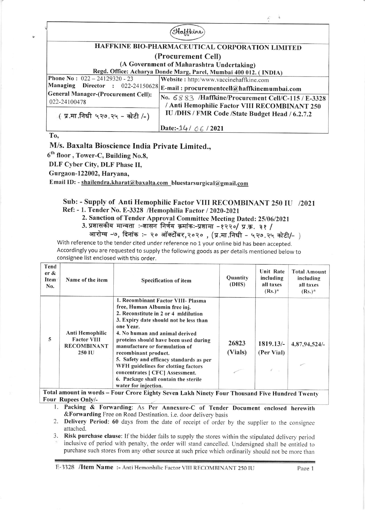| kire                                                             |                                                                                                     |  |  |  |  |
|------------------------------------------------------------------|-----------------------------------------------------------------------------------------------------|--|--|--|--|
| HAFFKINE BIO-PHARMACEUTICAL CORPORATION LIMITED                  |                                                                                                     |  |  |  |  |
| (Procurement Cell)                                               |                                                                                                     |  |  |  |  |
| (A Government of Maharashtra Undertaking)                        |                                                                                                     |  |  |  |  |
| Regd. Office: Acharya Donde Marg, Parel, Mumbai 400 012. (INDIA) |                                                                                                     |  |  |  |  |
| Phone No: 022-24129320-23                                        | Website: http:/www.vaccinehaffkine.com                                                              |  |  |  |  |
| Managing<br>Director : 022-24150628                              | E-mail: procurementcell@haffkinemumbai.com                                                          |  |  |  |  |
| <b>General Manager-(Procurement Cell):</b><br>022-24100478       | No. 6883 /Haffkine/Procurement Cell/C-115 / E-3328<br>/ Anti Hemophilic Factor VIII RECOMBINANT 250 |  |  |  |  |
| (प्र.मा.निधी ५२७.२५ - कोटी /-)                                   | IU /DHS / FMR Code /State Budget Head / 6.2.7.2                                                     |  |  |  |  |
|                                                                  | Date:- $14 / 66 / 2021$                                                                             |  |  |  |  |

To,

## M/s. Baxalta Bioscience India Private Limited.,

6th floor , Tower-C, Building No.8,

DLF Cyber Cify, DLF Phase II,

Gurgaon-122002, Haryana,

Email ID: - shailendra.kharat@baxalta.com bluestarsurgical@gmail.com

## Sub: - Supply of Anti Hemophilic Factor VIII RECOMBINANT 250 IU /2021 Ref: - 1. Tender No. E-3328 /Hemophilia Factor / 2020-2021

- 2. Sanction of Tender Approval Committee Meeting Dated: 25/06/2021
- 3. प्रशासकीय मान्यता :-शासन निर्णय क्रमांकः-प्रशामा -१२२०/ प्र.क्र. ३१ /
- आरोग्य -७, दिनांक :- २० ऑक्टोंबर,२०२० , (प्र.मा.निधी ५२७.२५ कोटी/- )

With reference to the tender cited under reference no 1 your online bid has been accepted. Accordingly you are requested to supply the following goods as per details mentioned below to consignee list enclosed with this order.

| Tend<br>$er$ &<br>Item<br>No.                                                                 | Name of the item                                                      | <b>Specification of item</b>                                                                                                                                                                                                                                                                                                                                                                                                                                                                | Quantity<br>(DHS) | Unit Rate<br>including<br>all taxes<br>$(Rs.)^*$ | <b>Total Amount</b><br>including<br>all taxes<br>$(Rs.)^*$ |
|-----------------------------------------------------------------------------------------------|-----------------------------------------------------------------------|---------------------------------------------------------------------------------------------------------------------------------------------------------------------------------------------------------------------------------------------------------------------------------------------------------------------------------------------------------------------------------------------------------------------------------------------------------------------------------------------|-------------------|--------------------------------------------------|------------------------------------------------------------|
| 5                                                                                             | Anti Hemophilic<br><b>Factor VIII</b><br><b>RECOMBINANT</b><br>250 IU | 1. Recombinant Factor VIII- Plasma<br>free, Human Albumin free inj.<br>2. Reconstitute in 2 or 4 midilution<br>3. Expiry date should not be less than<br>one Year.<br>4. No human and animal derived<br>proteins should have been used during<br>manufacture or formulation of<br>recombinant product.<br>5. Safety and efficacy standards as per<br>WFH guidelines for clotting factors<br>concentrates [ CFC] Assessment.<br>6. Package shall contain the sterile<br>water for injection. | 26823<br>(Vials)  | 1819.13/-<br>(Per Vial)                          | 4,87,94,524/-                                              |
| Total amount in words - Four Crore Eighty Seven Lakh Ninety Four Thousand Five Hundred Twenty |                                                                       |                                                                                                                                                                                                                                                                                                                                                                                                                                                                                             |                   |                                                  |                                                            |
| Four Rupees Only/-                                                                            |                                                                       |                                                                                                                                                                                                                                                                                                                                                                                                                                                                                             |                   |                                                  |                                                            |
| Packing & Forwarding: As Per Annexure-C of Tender Document enclosed herewith                  |                                                                       |                                                                                                                                                                                                                                                                                                                                                                                                                                                                                             |                   |                                                  |                                                            |

- 1. Packing & Forwarding: As Per Annexure-C of Tender Document enclosed herewith &Forwarding Free on Road Destination. i.e. door delivery basis
- 2. Delivery Period: 60 days from the date of receipt of order by the supplier to the consignee attached.
- 3. Risk purchase clause: If the bidder fails to supply the stores within the stipulated delivery period inclusive of period with penalty. the order will stand cancelled. Undersigned shall be entitled to purchase such stores from any other source at such price which ordinarily should not be more than

E-3328 /Item Name :- Anti Hemonhilic Factor VIII RECOMBINANT 250 IU Page 1